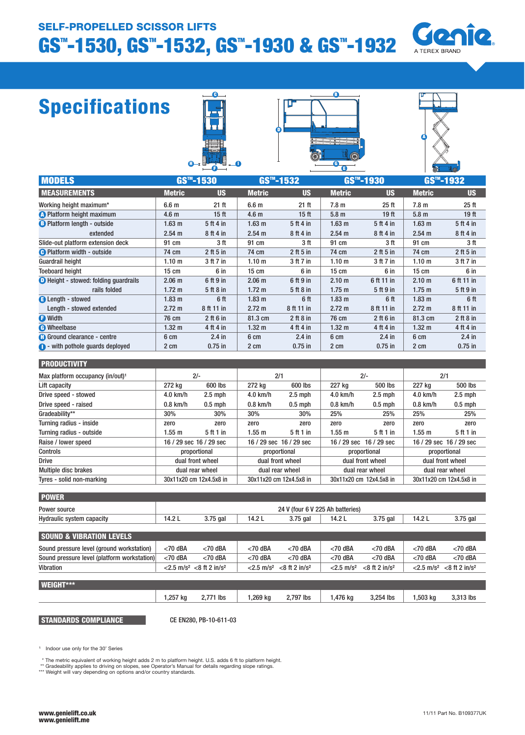### SELF-PROPELLED SCISSOR LIFTS

# GS"-1530, GS"-1532, GS"-1930 & GS"-1932



## Specifications







| <b>MODELS</b>                                |                   | $GSm - 1530$     |                   | GS <sup>™</sup> -1532 |                   | GS™-1930         |                   | GS <sup>™</sup> -1932 |
|----------------------------------------------|-------------------|------------------|-------------------|-----------------------|-------------------|------------------|-------------------|-----------------------|
| <b>MEASUREMENTS</b>                          | <b>Metric</b>     | <b>US</b>        | <b>Metric</b>     | <b>US</b>             | <b>Metric</b>     | <b>US</b>        | <b>Metric</b>     | <b>US</b>             |
| Working height maximum*                      | 6.6 <sub>m</sub>  | 21 ft            | 6.6 <sub>m</sub>  | $21$ ft               | 7.8 <sub>m</sub>  | $25$ ft          | 7.8 <sub>m</sub>  | 25 <sub>ft</sub>      |
| <b>A</b> Platform height maximum             | 4.6 <sub>m</sub>  | 15 <sub>ft</sub> | 4.6 <sub>m</sub>  | 15 <sub>ft</sub>      | 5.8 <sub>m</sub>  | 19 <sub>ft</sub> | 5.8 <sub>m</sub>  | 19 <sub>ft</sub>      |
| <b>B</b> Platform length - outside           | 1.63 <sub>m</sub> | 5 ft 4 in        | 1.63 <sub>m</sub> | 5 ft 4 in             | 1.63 <sub>m</sub> | 5 ft 4 in        | 1.63 <sub>m</sub> | 5 ft 4 in             |
| extended                                     | $2.54 \text{ m}$  | 8 ft 4 in        | 2.54 m            | 8 ft 4 in             | 2.54 m            | 8 ft 4 in        | 2.54 m            | 8ft4in                |
| Slide-out platform extension deck            | 91 cm             | 3 ft             | 91 cm             | 3 ft                  | 91 cm             | 3 ft             | 91 cm             | 3 ft                  |
| <b>B</b> Platform width - outside            | 74 cm             | $2$ ft 5 in      | 74 cm             | $2$ ft 5 in           | 74 cm             | $2$ ft 5 in      | 74 cm             | $2$ ft 5 in           |
| <b>Guardrail height</b>                      | 1.10 <sub>m</sub> | 3 ft 7 in        | 1.10 <sub>m</sub> | 3 ft 7 in             | 1.10 <sub>m</sub> | 3 ft 7 in        | 1.10 <sub>m</sub> | 3 ft 7 in             |
| <b>Toeboard height</b>                       | $15 \text{ cm}$   | 6 in             | $15 \text{ cm}$   | 6 in                  | $15 \text{ cm}$   | 6 in             | $15 \text{ cm}$   | 6 in                  |
| <b>O</b> Height - stowed: folding guardrails | 2.06 <sub>m</sub> | 6 ft 9 in        | 2.06 <sub>m</sub> | 6 ft 9 in             | 2.10 <sub>m</sub> | 6 ft 11 in       | 2.10 <sub>m</sub> | 6 ft 11 in            |
| rails folded                                 | 1.72 <sub>m</sub> | 5ft8in           | $1.72 \text{ m}$  | 5 ft 8 in             | $1.75$ m          | 5 ft 9 in        | $1.75$ m          | 5 ft 9 in             |
| <b>B</b> Length - stowed                     | 1.83 <sub>m</sub> | 6 ft             | 1.83 <sub>m</sub> | 6 ft                  | 1.83 <sub>m</sub> | 6 ft             | 1.83 <sub>m</sub> | 6 ft                  |
| Length - stowed extended                     | $2.72 \text{ m}$  | 8 ft 11 in       | $2.72 \text{ m}$  | 8 ft 11 in            | $2.72 \text{ m}$  | 8 ft 11 in       | $2.72 \text{ m}$  | 8 ft 11 in            |
| <b>O</b> Width                               | 76 cm             | $2$ ft 6 in      | 81.3 cm           | $2$ ft 8 in           | 76 cm             | $2$ ft 6 in      | 81.3 cm           | $2$ ft 8 in           |
| <b>C</b> Wheelbase                           | 1.32 <sub>m</sub> | 4 ft 4 in        | $1.32 \text{ m}$  | 4 ft 4 in             | $1.32 \text{ m}$  | 4 ft 4 in        | $1.32 \text{ m}$  | 4 ft 4 in             |
| <b>C</b> Ground clearance - centre           | 6 cm              | $2.4$ in         | 6 cm              | $2.4$ in              | 6 cm              | $2.4$ in         | 6 cm              | $2.4$ in              |
| $\bullet$ - with pothole guards deployed     | 2 cm              | $0.75$ in        | 2 cm              | $0.75$ in             | 2 cm              | $0.75$ in        | 2 cm              | $0.75$ in             |

| <b>I PRODUCTIVITY</b> |  |
|-----------------------|--|
| .                     |  |

| Max platform occupancy (in/out) <sup>1</sup> | $2/-$                   |                 | 2/1                     |                         |                  | $2/-$                   | 2/1                     |                         |
|----------------------------------------------|-------------------------|-----------------|-------------------------|-------------------------|------------------|-------------------------|-------------------------|-------------------------|
| Lift capacity                                | 272 kg                  | 600 lbs         | 272 kg                  | 600 lbs                 | 227 kg           | 500 lbs                 | 227 kg                  | 500 lbs                 |
| Drive speed - stowed                         | $4.0$ km/h              | $2.5$ mph       | $4.0$ km/h              | $2.5$ mph               | $4.0$ km/h       | $2.5$ mph               | $4.0$ km/h              | $2.5$ mph               |
| Drive speed - raised                         | $0.8$ km/h              | $0.5$ mph       | $0.8$ km/h              | $0.5$ mph               | $0.8$ km/h       | $0.5$ mph               | $0.8$ km/h              | $0.5$ mph               |
| Gradeability**                               | 30%                     | 30%             | 30%                     | 30%                     | 25%              | 25%                     | 25%                     | 25%                     |
| Turning radius - inside                      | zero                    | zero            | zero                    | zero                    | zero             | zero                    | zero                    | zero                    |
| Turning radius - outside                     | 1.55 m                  | 5 ft 1 in       | 1.55 m                  | 5 ft 1 in               | 1.55 m           | 5 ft 1 in               | $1.55$ m                | 5 ft 1 in               |
| Raise / lower speed                          | 16 / 29 sec 16 / 29 sec |                 |                         | 16 / 29 sec 16 / 29 sec |                  | 16 / 29 sec 16 / 29 sec |                         | 16 / 29 sec 16 / 29 sec |
| Controls                                     | proportional            |                 | proportional            |                         | proportional     |                         | proportional            |                         |
| <b>Drive</b>                                 | dual front wheel        |                 | dual front wheel        |                         | dual front wheel |                         | dual front wheel        |                         |
| <b>Multiple disc brakes</b>                  |                         | dual rear wheel |                         | dual rear wheel         |                  | dual rear wheel         | dual rear wheel         |                         |
| Tyres - solid non-marking                    | 30x11x20 cm 12x4.5x8 in |                 | 30x11x20 cm 12x4.5x8 in |                         |                  | 30x11x20 cm 12x4.5x8 in | 30x11x20 cm 12x4.5x8 in |                         |

| <b>POWER</b>                     |        |                                  |        |          |        |          |        |          |
|----------------------------------|--------|----------------------------------|--------|----------|--------|----------|--------|----------|
| Power source                     |        | 24 V (four 6 V 225 Ah batteries) |        |          |        |          |        |          |
| <b>Hydraulic system capacity</b> | 14.2 L | 3.75 gal                         | 14.2 L | 3.75 gal | 14.2 L | 3.75 gal | 14.2 L | 3.75 gal |

| <b>SOUND &amp; VIBRATION LEVELS</b>         |            |                                                       |            |                                                       |                          |                              |            |                                                       |
|---------------------------------------------|------------|-------------------------------------------------------|------------|-------------------------------------------------------|--------------------------|------------------------------|------------|-------------------------------------------------------|
| Sound pressure level (ground workstation)   | $<$ 70 dBA | $<$ 70 dBA                                            | $<$ 70 dBA | $<$ 70 dBA                                            | $<$ 70 dBA               | $<$ 70 dBA                   | $<$ 70 dBA | $<$ 70 dBA                                            |
| Sound pressure level (platform workstation) | $<$ 70 dBA | $<$ 70 dBA                                            | $<$ 70 dBA | $<$ 70 dBA                                            | $<$ 70 dBA               | $<$ 70 dBA                   | $<$ 70 dBA | $<$ 70 dBA                                            |
| <b>Vibration</b>                            |            | $<$ 2.5 m/s <sup>2</sup> $<$ 8 ft 2 in/s <sup>2</sup> |            | $<$ 2.5 m/s <sup>2</sup> $<$ 8 ft 2 in/s <sup>2</sup> | $< 2.5$ m/s <sup>2</sup> | $<$ 8 ft 2 in/s <sup>2</sup> |            | $<$ 2.5 m/s <sup>2</sup> $<$ 8 ft 2 in/s <sup>2</sup> |
|                                             |            |                                                       |            |                                                       |                          |                              |            |                                                       |
| <b>I WEIGHT***</b>                          |            |                                                       |            |                                                       |                          |                              |            |                                                       |
|                                             |            |                                                       |            |                                                       |                          |                              |            |                                                       |

| ______ |          |                   |         |           |         |           |          |           |
|--------|----------|-------------------|---------|-----------|---------|-----------|----------|-----------|
|        | .,257 kg | $\degree$ 771 lbs | .269 kg | 2,797 lbs | ,476 kg | 3.254 lbs | l,503 kg | ີ 313 lbs |
|        |          |                   |         |           |         |           |          |           |

STANDARDS COMPLIANCE

CE EN280, PB-10-611-03

<sup>1</sup> Indoor use only for the 30' Series

\* The metric equivalent of working height adds 2 m to platform height. U.S. adds 6 ft to platform height.<br>\*\* Gradeability applies to driving on slopes, see Operator's Manual for details regarding slope ratings.<br>\*\*\* Weight